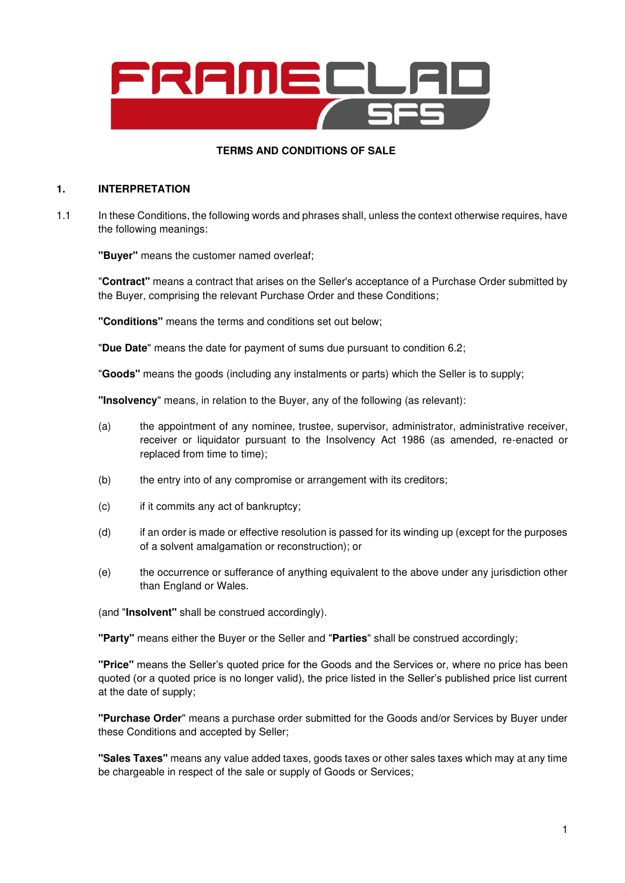

## **TERMS AND CONDITIONS OF SALE**

### **1. INTERPRETATION**

1.1 In these Conditions, the following words and phrases shall, unless the context otherwise requires, have the following meanings:

**"Buyer"** means the customer named overleaf;

"**Contract"** means a contract that arises on the Seller's acceptance of a Purchase Order submitted by the Buyer, comprising the relevant Purchase Order and these Conditions;

**"Conditions"** means the terms and conditions set out below;

"**Due Date**" means the date for payment of sums due pursuant to condition 6.2;

"**Goods"** means the goods (including any instalments or parts) which the Seller is to supply;

**"Insolvency**" means, in relation to the Buyer, any of the following (as relevant):

- (a) the appointment of any nominee, trustee, supervisor, administrator, administrative receiver, receiver or liquidator pursuant to the Insolvency Act 1986 (as amended, re-enacted or replaced from time to time);
- (b) the entry into of any compromise or arrangement with its creditors;
- (c) if it commits any act of bankruptcy;
- (d) if an order is made or effective resolution is passed for its winding up (except for the purposes of a solvent amalgamation or reconstruction); or
- (e) the occurrence or sufferance of anything equivalent to the above under any jurisdiction other than England or Wales.

(and "**Insolvent"** shall be construed accordingly).

**"Party"** means either the Buyer or the Seller and "**Parties**" shall be construed accordingly;

**"Price"** means the Seller's quoted price for the Goods and the Services or, where no price has been quoted (or a quoted price is no longer valid), the price listed in the Seller's published price list current at the date of supply;

**"Purchase Order**" means a purchase order submitted for the Goods and/or Services by Buyer under these Conditions and accepted by Seller;

**"Sales Taxes"** means any value added taxes, goods taxes or other sales taxes which may at any time be chargeable in respect of the sale or supply of Goods or Services;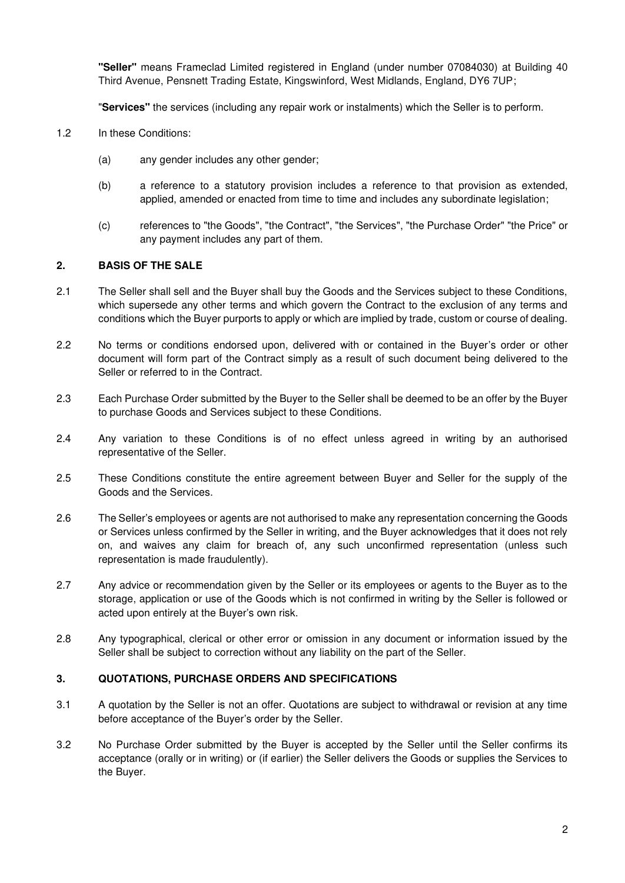**"Seller"** means Frameclad Limited registered in England (under number 07084030) at Building 40 Third Avenue, Pensnett Trading Estate, Kingswinford, West Midlands, England, DY6 7UP;

"**Services"** the services (including any repair work or instalments) which the Seller is to perform.

- 1.2 In these Conditions:
	- (a) any gender includes any other gender;
	- (b) a reference to a statutory provision includes a reference to that provision as extended, applied, amended or enacted from time to time and includes any subordinate legislation;
	- (c) references to "the Goods", "the Contract", "the Services", "the Purchase Order" "the Price" or any payment includes any part of them.

## **2. BASIS OF THE SALE**

- 2.1 The Seller shall sell and the Buyer shall buy the Goods and the Services subject to these Conditions, which supersede any other terms and which govern the Contract to the exclusion of any terms and conditions which the Buyer purports to apply or which are implied by trade, custom or course of dealing.
- 2.2 No terms or conditions endorsed upon, delivered with or contained in the Buyer's order or other document will form part of the Contract simply as a result of such document being delivered to the Seller or referred to in the Contract.
- 2.3 Each Purchase Order submitted by the Buyer to the Seller shall be deemed to be an offer by the Buyer to purchase Goods and Services subject to these Conditions.
- 2.4 Any variation to these Conditions is of no effect unless agreed in writing by an authorised representative of the Seller.
- 2.5 These Conditions constitute the entire agreement between Buyer and Seller for the supply of the Goods and the Services.
- 2.6 The Seller's employees or agents are not authorised to make any representation concerning the Goods or Services unless confirmed by the Seller in writing, and the Buyer acknowledges that it does not rely on, and waives any claim for breach of, any such unconfirmed representation (unless such representation is made fraudulently).
- 2.7 Any advice or recommendation given by the Seller or its employees or agents to the Buyer as to the storage, application or use of the Goods which is not confirmed in writing by the Seller is followed or acted upon entirely at the Buyer's own risk.
- 2.8 Any typographical, clerical or other error or omission in any document or information issued by the Seller shall be subject to correction without any liability on the part of the Seller.

### **3. QUOTATIONS, PURCHASE ORDERS AND SPECIFICATIONS**

- 3.1 A quotation by the Seller is not an offer. Quotations are subject to withdrawal or revision at any time before acceptance of the Buyer's order by the Seller.
- 3.2 No Purchase Order submitted by the Buyer is accepted by the Seller until the Seller confirms its acceptance (orally or in writing) or (if earlier) the Seller delivers the Goods or supplies the Services to the Buyer.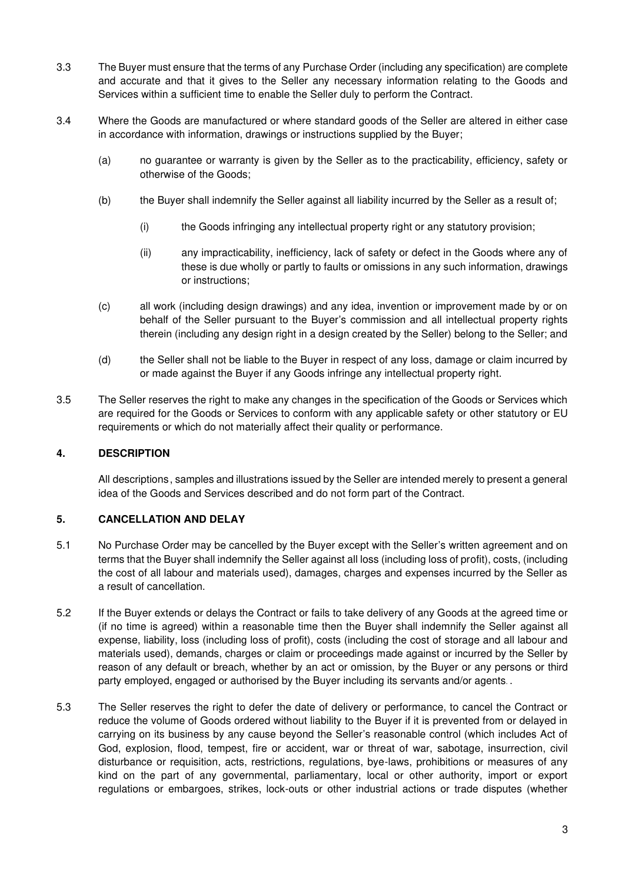- 3.3 The Buyer must ensure that the terms of any Purchase Order (including any specification) are complete and accurate and that it gives to the Seller any necessary information relating to the Goods and Services within a sufficient time to enable the Seller duly to perform the Contract.
- 3.4 Where the Goods are manufactured or where standard goods of the Seller are altered in either case in accordance with information, drawings or instructions supplied by the Buyer;
	- (a) no guarantee or warranty is given by the Seller as to the practicability, efficiency, safety or otherwise of the Goods;
	- (b) the Buyer shall indemnify the Seller against all liability incurred by the Seller as a result of;
		- (i) the Goods infringing any intellectual property right or any statutory provision;
		- (ii) any impracticability, inefficiency, lack of safety or defect in the Goods where any of these is due wholly or partly to faults or omissions in any such information, drawings or instructions;
	- (c) all work (including design drawings) and any idea, invention or improvement made by or on behalf of the Seller pursuant to the Buyer's commission and all intellectual property rights therein (including any design right in a design created by the Seller) belong to the Seller; and
	- (d) the Seller shall not be liable to the Buyer in respect of any loss, damage or claim incurred by or made against the Buyer if any Goods infringe any intellectual property right.
- 3.5 The Seller reserves the right to make any changes in the specification of the Goods or Services which are required for the Goods or Services to conform with any applicable safety or other statutory or EU requirements or which do not materially affect their quality or performance.

# **4. DESCRIPTION**

All descriptions , samples and illustrations issued by the Seller are intended merely to present a general idea of the Goods and Services described and do not form part of the Contract.

# **5. CANCELLATION AND DELAY**

- 5.1 No Purchase Order may be cancelled by the Buyer except with the Seller's written agreement and on terms that the Buyer shall indemnify the Seller against all loss (including loss of profit), costs, (including the cost of all labour and materials used), damages, charges and expenses incurred by the Seller as a result of cancellation.
- 5.2 If the Buyer extends or delays the Contract or fails to take delivery of any Goods at the agreed time or (if no time is agreed) within a reasonable time then the Buyer shall indemnify the Seller against all expense, liability, loss (including loss of profit), costs (including the cost of storage and all labour and materials used), demands, charges or claim or proceedings made against or incurred by the Seller by reason of any default or breach, whether by an act or omission, by the Buyer or any persons or third party employed, engaged or authorised by the Buyer including its servants and/or agents. .
- 5.3 The Seller reserves the right to defer the date of delivery or performance, to cancel the Contract or reduce the volume of Goods ordered without liability to the Buyer if it is prevented from or delayed in carrying on its business by any cause beyond the Seller's reasonable control (which includes Act of God, explosion, flood, tempest, fire or accident, war or threat of war, sabotage, insurrection, civil disturbance or requisition, acts, restrictions, regulations, bye-laws, prohibitions or measures of any kind on the part of any governmental, parliamentary, local or other authority, import or export regulations or embargoes, strikes, lock-outs or other industrial actions or trade disputes (whether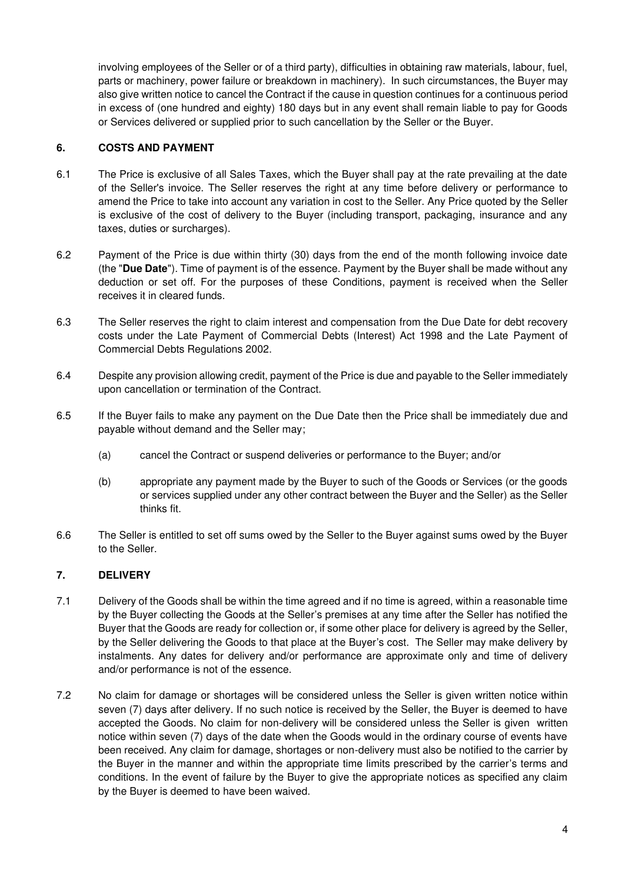involving employees of the Seller or of a third party), difficulties in obtaining raw materials, labour, fuel, parts or machinery, power failure or breakdown in machinery). In such circumstances, the Buyer may also give written notice to cancel the Contract if the cause in question continues for a continuous period in excess of (one hundred and eighty) 180 days but in any event shall remain liable to pay for Goods or Services delivered or supplied prior to such cancellation by the Seller or the Buyer.

## **6. COSTS AND PAYMENT**

- 6.1 The Price is exclusive of all Sales Taxes, which the Buyer shall pay at the rate prevailing at the date of the Seller's invoice. The Seller reserves the right at any time before delivery or performance to amend the Price to take into account any variation in cost to the Seller. Any Price quoted by the Seller is exclusive of the cost of delivery to the Buyer (including transport, packaging, insurance and any taxes, duties or surcharges).
- 6.2 Payment of the Price is due within thirty (30) days from the end of the month following invoice date (the "**Due Date**"). Time of payment is of the essence. Payment by the Buyer shall be made without any deduction or set off. For the purposes of these Conditions, payment is received when the Seller receives it in cleared funds.
- 6.3 The Seller reserves the right to claim interest and compensation from the Due Date for debt recovery costs under the Late Payment of Commercial Debts (Interest) Act 1998 and the Late Payment of Commercial Debts Regulations 2002.
- 6.4 Despite any provision allowing credit, payment of the Price is due and payable to the Seller immediately upon cancellation or termination of the Contract.
- 6.5 If the Buyer fails to make any payment on the Due Date then the Price shall be immediately due and payable without demand and the Seller may;
	- (a) cancel the Contract or suspend deliveries or performance to the Buyer; and/or
	- (b) appropriate any payment made by the Buyer to such of the Goods or Services (or the goods or services supplied under any other contract between the Buyer and the Seller) as the Seller thinks fit.
- 6.6 The Seller is entitled to set off sums owed by the Seller to the Buyer against sums owed by the Buyer to the Seller.

### **7. DELIVERY**

- 7.1 Delivery of the Goods shall be within the time agreed and if no time is agreed, within a reasonable time by the Buyer collecting the Goods at the Seller's premises at any time after the Seller has notified the Buyer that the Goods are ready for collection or, if some other place for delivery is agreed by the Seller, by the Seller delivering the Goods to that place at the Buyer's cost. The Seller may make delivery by instalments. Any dates for delivery and/or performance are approximate only and time of delivery and/or performance is not of the essence.
- 7.2 No claim for damage or shortages will be considered unless the Seller is given written notice within seven (7) days after delivery. If no such notice is received by the Seller, the Buyer is deemed to have accepted the Goods. No claim for non-delivery will be considered unless the Seller is given written notice within seven (7) days of the date when the Goods would in the ordinary course of events have been received. Any claim for damage, shortages or non-delivery must also be notified to the carrier by the Buyer in the manner and within the appropriate time limits prescribed by the carrier's terms and conditions. In the event of failure by the Buyer to give the appropriate notices as specified any claim by the Buyer is deemed to have been waived.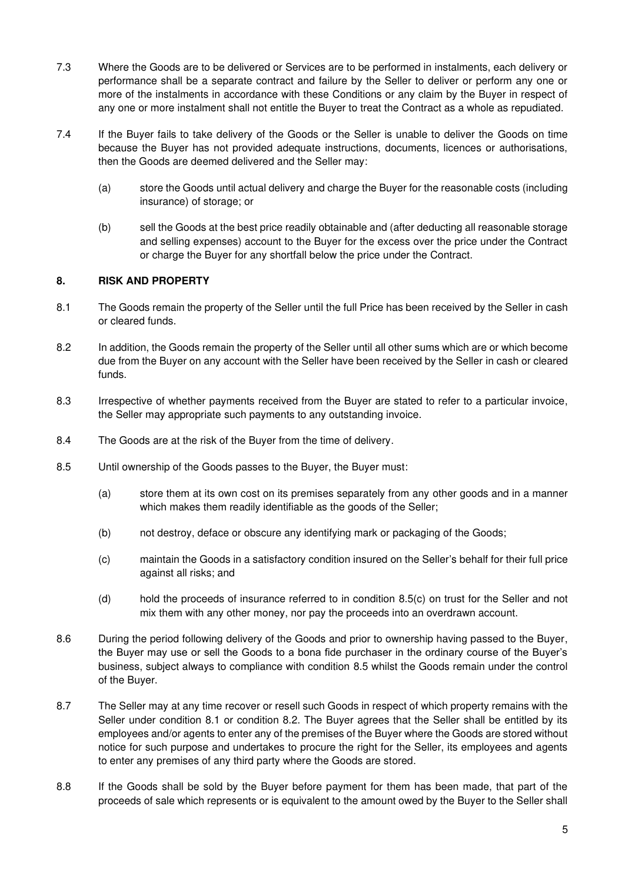- 7.3 Where the Goods are to be delivered or Services are to be performed in instalments, each delivery or performance shall be a separate contract and failure by the Seller to deliver or perform any one or more of the instalments in accordance with these Conditions or any claim by the Buyer in respect of any one or more instalment shall not entitle the Buyer to treat the Contract as a whole as repudiated.
- 7.4 If the Buyer fails to take delivery of the Goods or the Seller is unable to deliver the Goods on time because the Buyer has not provided adequate instructions, documents, licences or authorisations, then the Goods are deemed delivered and the Seller may:
	- (a) store the Goods until actual delivery and charge the Buyer for the reasonable costs (including insurance) of storage; or
	- (b) sell the Goods at the best price readily obtainable and (after deducting all reasonable storage and selling expenses) account to the Buyer for the excess over the price under the Contract or charge the Buyer for any shortfall below the price under the Contract.

## <span id="page-4-2"></span>**8. RISK AND PROPERTY**

- 8.1 The Goods remain the property of the Seller until the full Price has been received by the Seller in cash or cleared funds.
- 8.2 In addition, the Goods remain the property of the Seller until all other sums which are or which become due from the Buyer on any account with the Seller have been received by the Seller in cash or cleared funds.
- 8.3 Irrespective of whether payments received from the Buyer are stated to refer to a particular invoice, the Seller may appropriate such payments to any outstanding invoice.
- <span id="page-4-1"></span>8.4 The Goods are at the risk of the Buyer from the time of delivery.
- <span id="page-4-0"></span>8.5 Until ownership of the Goods passes to the Buyer, the Buyer must:
	- (a) store them at its own cost on its premises separately from any other goods and in a manner which makes them readily identifiable as the goods of the Seller;
	- (b) not destroy, deface or obscure any identifying mark or packaging of the Goods;
	- (c) maintain the Goods in a satisfactory condition insured on the Seller's behalf for their full price against all risks; and
	- (d) hold the proceeds of insurance referred to in condition 8.[5\(c\)](#page-4-0) on trust for the Seller and not mix them with any other money, nor pay the proceeds into an overdrawn account.
- <span id="page-4-3"></span>8.6 During the period following delivery of the Goods and prior to ownership having passed to the Buyer, the Buyer may use or sell the Goods to a bona fide purchaser in the ordinary course of the Buyer's business, subject always to compliance with condition [8.5](#page-4-1) whilst the Goods remain under the control of the Buyer.
- 8.7 The Seller may at any time recover or resell such Goods in respect of which property remains with the Seller under condition [8.1](#page-4-2) or condition 8.2. The Buyer agrees that the Seller shall be entitled by its employees and/or agents to enter any of the premises of the Buyer where the Goods are stored without notice for such purpose and undertakes to procure the right for the Seller, its employees and agents to enter any premises of any third party where the Goods are stored.
- 8.8 If the Goods shall be sold by the Buyer before payment for them has been made, that part of the proceeds of sale which represents or is equivalent to the amount owed by the Buyer to the Seller shall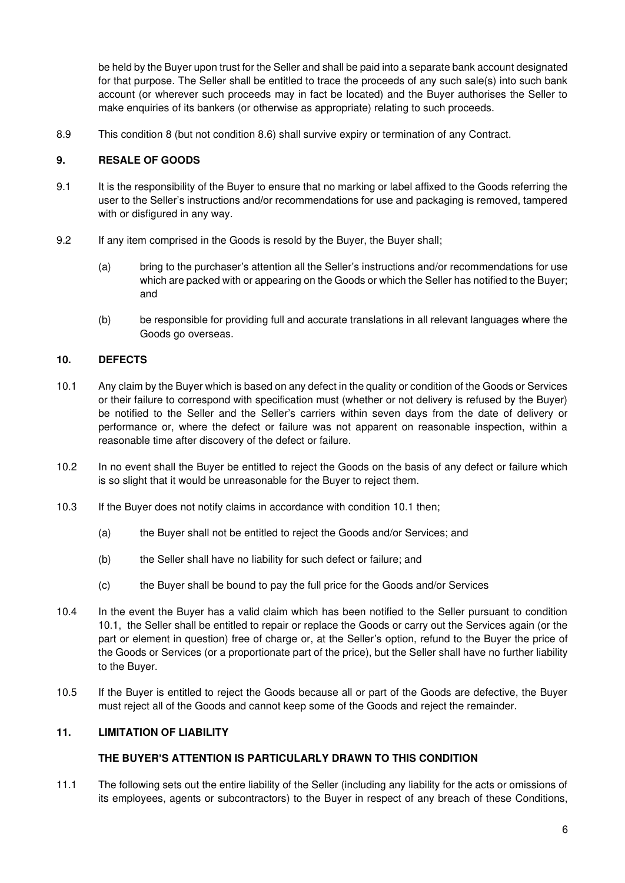be held by the Buyer upon trust for the Seller and shall be paid into a separate bank account designated for that purpose. The Seller shall be entitled to trace the proceeds of any such sale(s) into such bank account (or wherever such proceeds may in fact be located) and the Buyer authorises the Seller to make enquiries of its bankers (or otherwise as appropriate) relating to such proceeds.

8.9 This condition 8 (but not condition [8.6\)](#page-4-3) shall survive expiry or termination of any Contract.

## **9. RESALE OF GOODS**

- 9.1 It is the responsibility of the Buyer to ensure that no marking or label affixed to the Goods referring the user to the Seller's instructions and/or recommendations for use and packaging is removed, tampered with or disfigured in any way.
- 9.2 If any item comprised in the Goods is resold by the Buyer, the Buyer shall;
	- (a) bring to the purchaser's attention all the Seller's instructions and/or recommendations for use which are packed with or appearing on the Goods or which the Seller has notified to the Buyer; and
	- (b) be responsible for providing full and accurate translations in all relevant languages where the Goods go overseas.

## <span id="page-5-0"></span>**10. DEFECTS**

- 10.1 Any claim by the Buyer which is based on any defect in the quality or condition of the Goods or Services or their failure to correspond with specification must (whether or not delivery is refused by the Buyer) be notified to the Seller and the Seller's carriers within seven days from the date of delivery or performance or, where the defect or failure was not apparent on reasonable inspection, within a reasonable time after discovery of the defect or failure.
- 10.2 In no event shall the Buyer be entitled to reject the Goods on the basis of any defect or failure which is so slight that it would be unreasonable for the Buyer to reject them.
- 10.3 If the Buyer does not notify claims in accordance with condition 10.1 then;
	- (a) the Buyer shall not be entitled to reject the Goods and/or Services; and
	- (b) the Seller shall have no liability for such defect or failure; and
	- (c) the Buyer shall be bound to pay the full price for the Goods and/or Services
- 10.4 In the event the Buyer has a valid claim which has been notified to the Seller pursuant to condition [10.1,](#page-5-0) the Seller shall be entitled to repair or replace the Goods or carry out the Services again (or the part or element in question) free of charge or, at the Seller's option, refund to the Buyer the price of the Goods or Services (or a proportionate part of the price), but the Seller shall have no further liability to the Buyer.
- 10.5 If the Buyer is entitled to reject the Goods because all or part of the Goods are defective, the Buyer must reject all of the Goods and cannot keep some of the Goods and reject the remainder.

### **11. LIMITATION OF LIABILITY**

### **THE BUYER'S ATTENTION IS PARTICULARLY DRAWN TO THIS CONDITION**

11.1 The following sets out the entire liability of the Seller (including any liability for the acts or omissions of its employees, agents or subcontractors) to the Buyer in respect of any breach of these Conditions,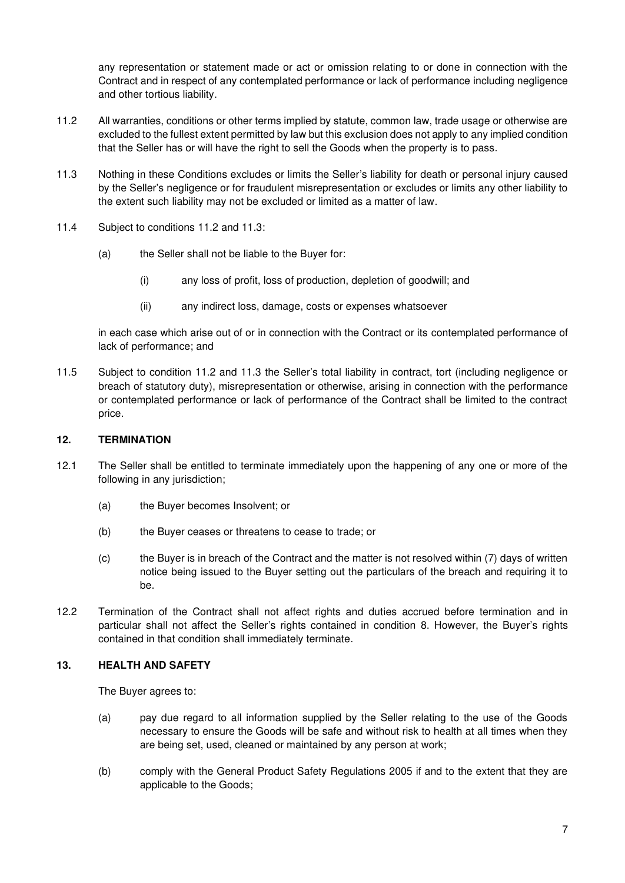any representation or statement made or act or omission relating to or done in connection with the Contract and in respect of any contemplated performance or lack of performance including negligence and other tortious liability.

- 11.2 All warranties, conditions or other terms implied by statute, common law, trade usage or otherwise are excluded to the fullest extent permitted by law but this exclusion does not apply to any implied condition that the Seller has or will have the right to sell the Goods when the property is to pass.
- <span id="page-6-0"></span>11.3 Nothing in these Conditions excludes or limits the Seller's liability for death or personal injury caused by the Seller's negligence or for fraudulent misrepresentation or excludes or limits any other liability to the extent such liability may not be excluded or limited as a matter of law.
- 11.4 Subject to conditions 11.2 and [11.3:](#page-6-0)
	- (a) the Seller shall not be liable to the Buyer for:
		- (i) any loss of profit, loss of production, depletion of goodwill; and
		- (ii) any indirect loss, damage, costs or expenses whatsoever

in each case which arise out of or in connection with the Contract or its contemplated performance of lack of performance; and

11.5 Subject to condition 11.2 and 11.3 the Seller's total liability in contract, tort (including negligence or breach of statutory duty), misrepresentation or otherwise, arising in connection with the performance or contemplated performance or lack of performance of the Contract shall be limited to the contract price.

## **12. TERMINATION**

- 12.1 The Seller shall be entitled to terminate immediately upon the happening of any one or more of the following in any jurisdiction;
	- (a) the Buyer becomes Insolvent; or
	- (b) the Buyer ceases or threatens to cease to trade; or
	- (c) the Buyer is in breach of the Contract and the matter is not resolved within (7) days of written notice being issued to the Buyer setting out the particulars of the breach and requiring it to be.
- 12.2 Termination of the Contract shall not affect rights and duties accrued before termination and in particular shall not affect the Seller's rights contained in condition 8. However, the Buyer's rights contained in that condition shall immediately terminate.

### **13. HEALTH AND SAFETY**

The Buyer agrees to:

- (a) pay due regard to all information supplied by the Seller relating to the use of the Goods necessary to ensure the Goods will be safe and without risk to health at all times when they are being set, used, cleaned or maintained by any person at work;
- (b) comply with the General Product Safety Regulations 2005 if and to the extent that they are applicable to the Goods;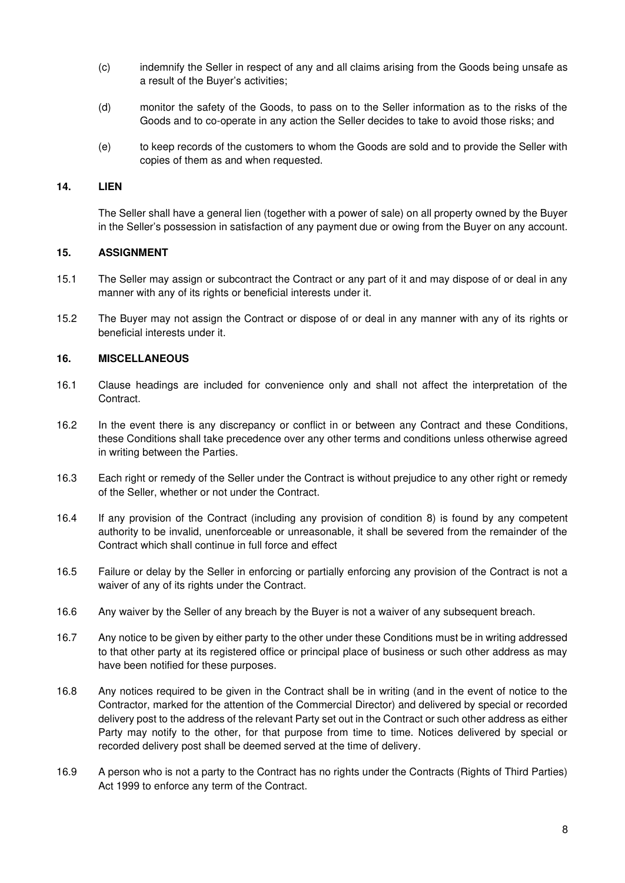- (c) indemnify the Seller in respect of any and all claims arising from the Goods being unsafe as a result of the Buyer's activities;
- (d) monitor the safety of the Goods, to pass on to the Seller information as to the risks of the Goods and to co-operate in any action the Seller decides to take to avoid those risks; and
- (e) to keep records of the customers to whom the Goods are sold and to provide the Seller with copies of them as and when requested.

#### **14. LIEN**

The Seller shall have a general lien (together with a power of sale) on all property owned by the Buyer in the Seller's possession in satisfaction of any payment due or owing from the Buyer on any account.

#### **15. ASSIGNMENT**

- 15.1 The Seller may assign or subcontract the Contract or any part of it and may dispose of or deal in any manner with any of its rights or beneficial interests under it.
- 15.2 The Buyer may not assign the Contract or dispose of or deal in any manner with any of its rights or beneficial interests under it.

#### **16. MISCELLANEOUS**

- 16.1 Clause headings are included for convenience only and shall not affect the interpretation of the Contract.
- 16.2 In the event there is any discrepancy or conflict in or between any Contract and these Conditions, these Conditions shall take precedence over any other terms and conditions unless otherwise agreed in writing between the Parties.
- 16.3 Each right or remedy of the Seller under the Contract is without prejudice to any other right or remedy of the Seller, whether or not under the Contract.
- 16.4 If any provision of the Contract (including any provision of condition 8) is found by any competent authority to be invalid, unenforceable or unreasonable, it shall be severed from the remainder of the Contract which shall continue in full force and effect
- 16.5 Failure or delay by the Seller in enforcing or partially enforcing any provision of the Contract is not a waiver of any of its rights under the Contract.
- 16.6 Any waiver by the Seller of any breach by the Buyer is not a waiver of any subsequent breach.
- 16.7 Any notice to be given by either party to the other under these Conditions must be in writing addressed to that other party at its registered office or principal place of business or such other address as may have been notified for these purposes.
- 16.8 Any notices required to be given in the Contract shall be in writing (and in the event of notice to the Contractor, marked for the attention of the Commercial Director) and delivered by special or recorded delivery post to the address of the relevant Party set out in the Contract or such other address as either Party may notify to the other, for that purpose from time to time. Notices delivered by special or recorded delivery post shall be deemed served at the time of delivery.
- 16.9 A person who is not a party to the Contract has no rights under the Contracts (Rights of Third Parties) Act 1999 to enforce any term of the Contract.